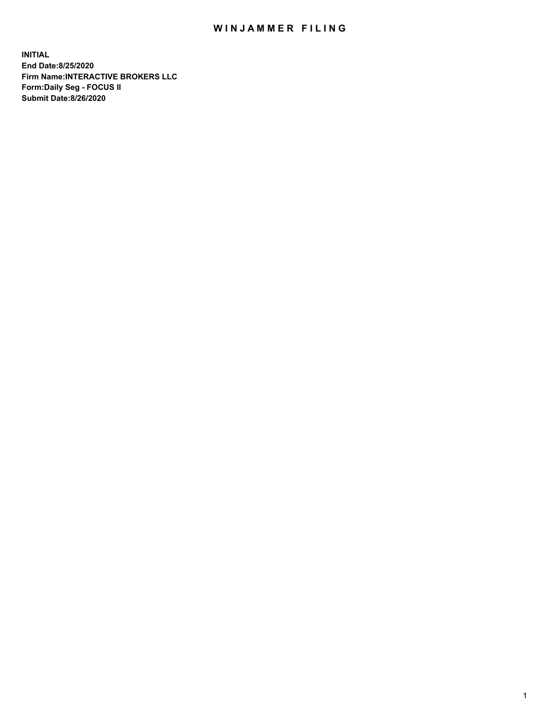## WIN JAMMER FILING

**INITIAL End Date:8/25/2020 Firm Name:INTERACTIVE BROKERS LLC Form:Daily Seg - FOCUS II Submit Date:8/26/2020**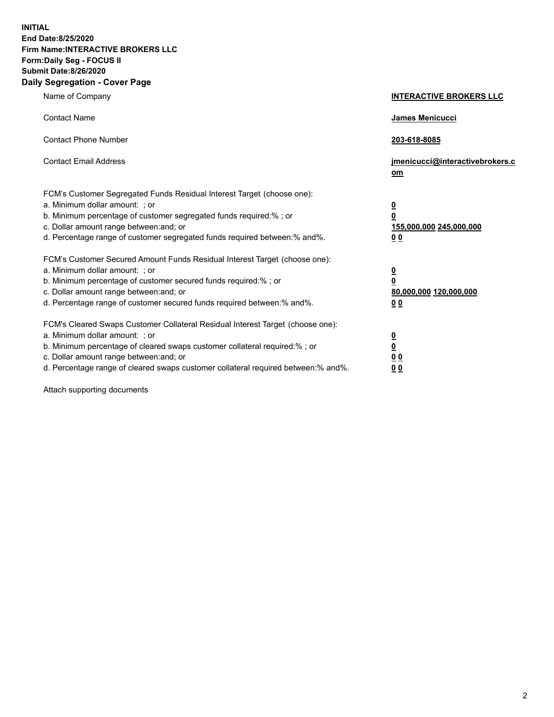**INITIAL End Date:8/25/2020 Firm Name:INTERACTIVE BROKERS LLC Form:Daily Seg - FOCUS II Submit Date:8/26/2020 Daily Segregation - Cover Page**

| Name of Company                                                                                                                                                                                                                                                                                                                | <b>INTERACTIVE BROKERS LLC</b>                                                                  |
|--------------------------------------------------------------------------------------------------------------------------------------------------------------------------------------------------------------------------------------------------------------------------------------------------------------------------------|-------------------------------------------------------------------------------------------------|
| <b>Contact Name</b>                                                                                                                                                                                                                                                                                                            | <b>James Menicucci</b>                                                                          |
| <b>Contact Phone Number</b>                                                                                                                                                                                                                                                                                                    | 203-618-8085                                                                                    |
| <b>Contact Email Address</b>                                                                                                                                                                                                                                                                                                   | jmenicucci@interactivebrokers.c<br>om                                                           |
| FCM's Customer Segregated Funds Residual Interest Target (choose one):<br>a. Minimum dollar amount: ; or<br>b. Minimum percentage of customer segregated funds required:%; or<br>c. Dollar amount range between: and; or<br>d. Percentage range of customer segregated funds required between:% and%.                          | $\overline{\mathbf{0}}$<br>$\overline{\mathbf{0}}$<br>155,000,000 245,000,000<br>0 <sub>0</sub> |
| FCM's Customer Secured Amount Funds Residual Interest Target (choose one):<br>a. Minimum dollar amount: ; or<br>b. Minimum percentage of customer secured funds required:%; or<br>c. Dollar amount range between: and; or<br>d. Percentage range of customer secured funds required between:% and%.                            | <u>0</u><br>$\overline{\mathbf{0}}$<br>80,000,000 120,000,000<br>0 <sub>0</sub>                 |
| FCM's Cleared Swaps Customer Collateral Residual Interest Target (choose one):<br>a. Minimum dollar amount: ; or<br>b. Minimum percentage of cleared swaps customer collateral required:% ; or<br>c. Dollar amount range between: and; or<br>d. Percentage range of cleared swaps customer collateral required between:% and%. | <u>0</u><br>$\underline{\mathbf{0}}$<br>0 <sub>0</sub><br>00                                    |

Attach supporting documents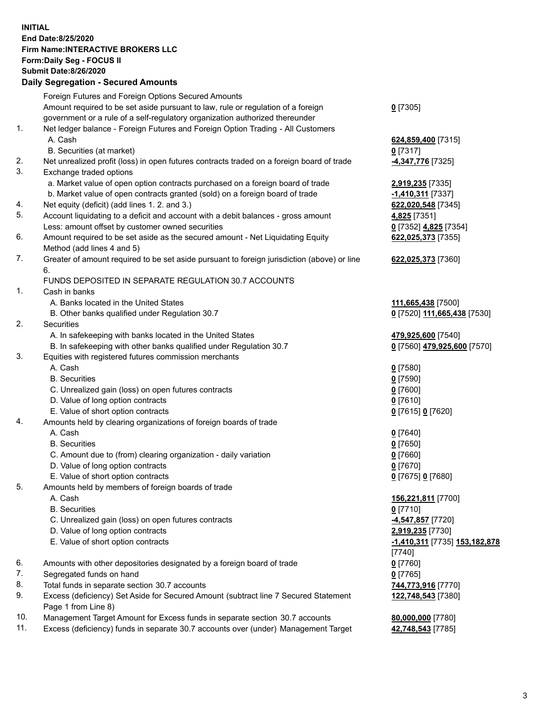**INITIAL End Date:8/25/2020 Firm Name:INTERACTIVE BROKERS LLC Form:Daily Seg - FOCUS II Submit Date:8/26/2020 Daily Segregation - Secured Amounts**

|     | Daily Segregation - Secureu Amounts                                                         |                               |
|-----|---------------------------------------------------------------------------------------------|-------------------------------|
|     | Foreign Futures and Foreign Options Secured Amounts                                         |                               |
|     | Amount required to be set aside pursuant to law, rule or regulation of a foreign            | $0$ [7305]                    |
|     | government or a rule of a self-regulatory organization authorized thereunder                |                               |
| 1.  | Net ledger balance - Foreign Futures and Foreign Option Trading - All Customers             |                               |
|     | A. Cash                                                                                     | 624,859,400 [7315]            |
|     | B. Securities (at market)                                                                   | $0$ [7317]                    |
| 2.  | Net unrealized profit (loss) in open futures contracts traded on a foreign board of trade   | 4,347,776 [7325]              |
| 3.  | Exchange traded options                                                                     |                               |
|     | a. Market value of open option contracts purchased on a foreign board of trade              | 2,919,235 [7335]              |
|     | b. Market value of open contracts granted (sold) on a foreign board of trade                | -1,410,311 [7337]             |
| 4.  | Net equity (deficit) (add lines 1. 2. and 3.)                                               | 622,020,548 [7345]            |
| 5.  | Account liquidating to a deficit and account with a debit balances - gross amount           | 4,825 [7351]                  |
|     | Less: amount offset by customer owned securities                                            | 0 [7352] 4,825 [7354]         |
| 6.  | Amount required to be set aside as the secured amount - Net Liquidating Equity              | 622,025,373 [7355]            |
|     | Method (add lines 4 and 5)                                                                  |                               |
| 7.  | Greater of amount required to be set aside pursuant to foreign jurisdiction (above) or line |                               |
|     | 6.                                                                                          | 622,025,373 [7360]            |
|     | FUNDS DEPOSITED IN SEPARATE REGULATION 30.7 ACCOUNTS                                        |                               |
| 1.  |                                                                                             |                               |
|     | Cash in banks                                                                               |                               |
|     | A. Banks located in the United States                                                       | 111,665,438 [7500]            |
|     | B. Other banks qualified under Regulation 30.7                                              | 0 [7520] 111,665,438 [7530]   |
| 2.  | <b>Securities</b>                                                                           |                               |
|     | A. In safekeeping with banks located in the United States                                   | 479,925,600 [7540]            |
|     | B. In safekeeping with other banks qualified under Regulation 30.7                          | 0 [7560] 479,925,600 [7570]   |
| 3.  | Equities with registered futures commission merchants                                       |                               |
|     | A. Cash                                                                                     | $0$ [7580]                    |
|     | <b>B.</b> Securities                                                                        | $0$ [7590]                    |
|     | C. Unrealized gain (loss) on open futures contracts                                         | $0$ [7600]                    |
|     | D. Value of long option contracts                                                           | $0$ [7610]                    |
|     | E. Value of short option contracts                                                          | 0 [7615] 0 [7620]             |
| 4.  | Amounts held by clearing organizations of foreign boards of trade                           |                               |
|     | A. Cash                                                                                     | $0$ [7640]                    |
|     | <b>B.</b> Securities                                                                        | $0$ [7650]                    |
|     | C. Amount due to (from) clearing organization - daily variation                             | $0$ [7660]                    |
|     | D. Value of long option contracts                                                           | $0$ [7670]                    |
|     | E. Value of short option contracts                                                          | 0 [7675] 0 [7680]             |
| 5.  | Amounts held by members of foreign boards of trade                                          |                               |
|     | A. Cash                                                                                     | 156,221,811 [7700]            |
|     | <b>B.</b> Securities                                                                        | $0$ [7710]                    |
|     | C. Unrealized gain (loss) on open futures contracts                                         | 4,547,857 [7720]              |
|     | D. Value of long option contracts                                                           | 2,919,235 [7730]              |
|     | E. Value of short option contracts                                                          | -1,410,311 [7735] 153,182,878 |
|     |                                                                                             | $[7740]$                      |
| 6.  | Amounts with other depositories designated by a foreign board of trade                      | $0$ [7760]                    |
| 7.  | Segregated funds on hand                                                                    | $0$ [7765]                    |
| 8.  | Total funds in separate section 30.7 accounts                                               | 744,773,916 [7770]            |
| 9.  | Excess (deficiency) Set Aside for Secured Amount (subtract line 7 Secured Statement         | 122,748,543 [7380]            |
|     | Page 1 from Line 8)                                                                         |                               |
| 10. | Management Target Amount for Excess funds in separate section 30.7 accounts                 | 80,000,000 [7780]             |
| 11. | Excess (deficiency) funds in separate 30.7 accounts over (under) Management Target          | 42,748,543 [7785]             |
|     |                                                                                             |                               |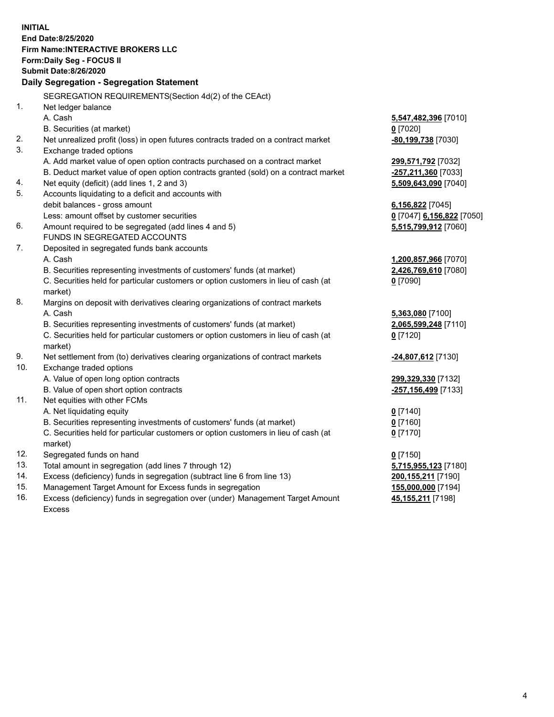**INITIAL End Date:8/25/2020 Firm Name:INTERACTIVE BROKERS LLC Form:Daily Seg - FOCUS II Submit Date:8/26/2020 Daily Segregation - Segregation Statement** SEGREGATION REQUIREMENTS(Section 4d(2) of the CEAct) 1. Net ledger balance A. Cash **5,547,482,396** [7010] B. Securities (at market) **0** [7020] 2. Net unrealized profit (loss) in open futures contracts traded on a contract market **-80,199,738** [7030] 3. Exchange traded options A. Add market value of open option contracts purchased on a contract market **299,571,792** [7032] B. Deduct market value of open option contracts granted (sold) on a contract market **-257,211,360** [7033] 4. Net equity (deficit) (add lines 1, 2 and 3) **5,509,643,090** [7040] 5. Accounts liquidating to a deficit and accounts with debit balances - gross amount **6,156,822** [7045] Less: amount offset by customer securities **0** [7047] **6,156,822** [7050] 6. Amount required to be segregated (add lines 4 and 5) **5,515,799,912** [7060] FUNDS IN SEGREGATED ACCOUNTS 7. Deposited in segregated funds bank accounts A. Cash **1,200,857,966** [7070] B. Securities representing investments of customers' funds (at market) **2,426,769,610** [7080] C. Securities held for particular customers or option customers in lieu of cash (at market) **0** [7090] 8. Margins on deposit with derivatives clearing organizations of contract markets A. Cash **5,363,080** [7100] B. Securities representing investments of customers' funds (at market) **2,065,599,248** [7110] C. Securities held for particular customers or option customers in lieu of cash (at market) **0** [7120] 9. Net settlement from (to) derivatives clearing organizations of contract markets **-24,807,612** [7130] 10. Exchange traded options A. Value of open long option contracts **299,329,330** [7132] B. Value of open short option contracts **-257,156,499** [7133] 11. Net equities with other FCMs A. Net liquidating equity **0** [7140] B. Securities representing investments of customers' funds (at market) **0** [7160] C. Securities held for particular customers or option customers in lieu of cash (at market) **0** [7170] 12. Segregated funds on hand **0** [7150] 13. Total amount in segregation (add lines 7 through 12) **5,715,955,123** [7180] 14. Excess (deficiency) funds in segregation (subtract line 6 from line 13) **200,155,211** [7190] 15. Management Target Amount for Excess funds in segregation **155,000,000** [7194] 16. Excess (deficiency) funds in segregation over (under) Management Target Amount Excess **45,155,211** [7198]